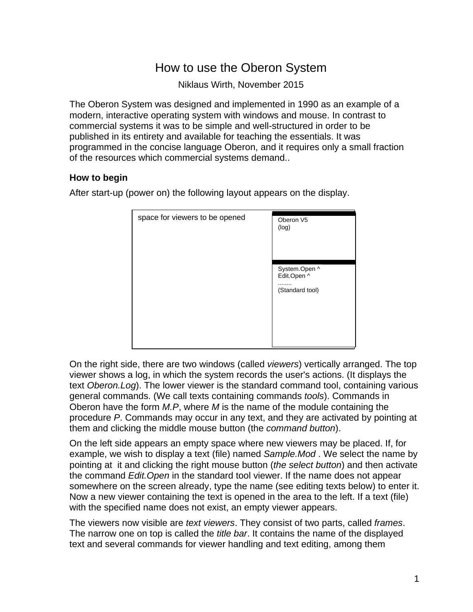# How to use the Oberon System

Niklaus Wirth, November 2015

The Oberon System was designed and implemented in 1990 as an example of a modern, interactive operating system with windows and mouse. In contrast to commercial systems it was to be simple and well-structured in order to be published in its entirety and available for teaching the essentials. It was programmed in the concise language Oberon, and it requires only a small fraction of the resources which commercial systems demand..

## **How to begin**

After start-up (power on) the following layout appears on the display.

| space for viewers to be opened | Oberon V5<br>(log)                                  |
|--------------------------------|-----------------------------------------------------|
|                                | System.Open ^<br>Edit.Open ^<br><br>(Standard tool) |

On the right side, there are two windows (called *viewers*) vertically arranged. The top viewer shows a log, in which the system records the user's actions. (It displays the text *Oberon.Log*). The lower viewer is the standard command tool, containing various general commands. (We call texts containing commands *tools*). Commands in Oberon have the form *M.P*, where *M* is the name of the module containing the procedure *P*. Commands may occur in any text, and they are activated by pointing at them and clicking the middle mouse button (the *command button*).

On the left side appears an empty space where new viewers may be placed. If, for example, we wish to display a text (file) named *Sample.Mod* . We select the name by pointing at it and clicking the right mouse button (*the select button*) and then activate the command *Edit.Open* in the standard tool viewer. If the name does not appear somewhere on the screen already, type the name (see editing texts below) to enter it. Now a new viewer containing the text is opened in the area to the left. If a text (file) with the specified name does not exist, an empty viewer appears.

The viewers now visible are *text viewers*. They consist of two parts, called *frames*. The narrow one on top is called the *title bar*. It contains the name of the displayed text and several commands for viewer handling and text editing, among them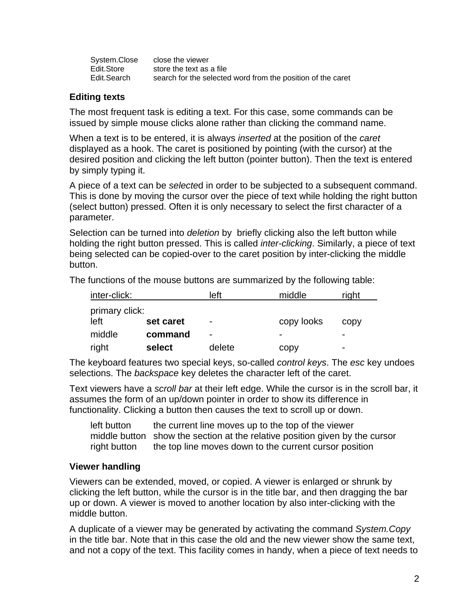| System.Close | close the viewer                                            |
|--------------|-------------------------------------------------------------|
| Edit.Store   | store the text as a file                                    |
| Edit.Search  | search for the selected word from the position of the caret |

### **Editing texts**

The most frequent task is editing a text. For this case, some commands can be issued by simple mouse clicks alone rather than clicking the command name.

When a text is to be entered, it is always *inserted* at the position of the *caret* displayed as a hook. The caret is positioned by pointing (with the cursor) at the desired position and clicking the left button (pointer button). Then the text is entered by simply typing it.

A piece of a text can be *selecte*d in order to be subjected to a subsequent command. This is done by moving the cursor over the piece of text while holding the right button (select button) pressed. Often it is only necessary to select the first character of a parameter.

Selection can be turned into *deletion* by briefly clicking also the left button while holding the right button pressed. This is called *inter-clicking*. Similarly, a piece of text being selected can be copied-over to the caret position by inter-clicking the middle button.

The functions of the mouse buttons are summarized by the following table:

| inter-click:   |           | left           | middle     | right                    |
|----------------|-----------|----------------|------------|--------------------------|
| primary click: |           |                |            |                          |
| left           | set caret | $\blacksquare$ | copy looks | CODV                     |
| middle         | command   | $\blacksquare$ | -          |                          |
| right          | select    | delete         | copy       | $\overline{\phantom{0}}$ |

The keyboard features two special keys, so-called *control keys*. The *esc* key undoes selections. The *backspace* key deletes the character left of the caret.

Text viewers have a *scroll bar* at their left edge. While the cursor is in the scroll bar, it assumes the form of an up/down pointer in order to show its difference in functionality. Clicking a button then causes the text to scroll up or down.

left button the current line moves up to the top of the viewer middle button show the section at the relative position given by the cursor right button the top line moves down to the current cursor position

#### **Viewer handling**

Viewers can be extended, moved, or copied. A viewer is enlarged or shrunk by clicking the left button, while the cursor is in the title bar, and then dragging the bar up or down. A viewer is moved to another location by also inter-clicking with the middle button.

A duplicate of a viewer may be generated by activating the command *System.Copy* in the title bar. Note that in this case the old and the new viewer show the same text, and not a copy of the text. This facility comes in handy, when a piece of text needs to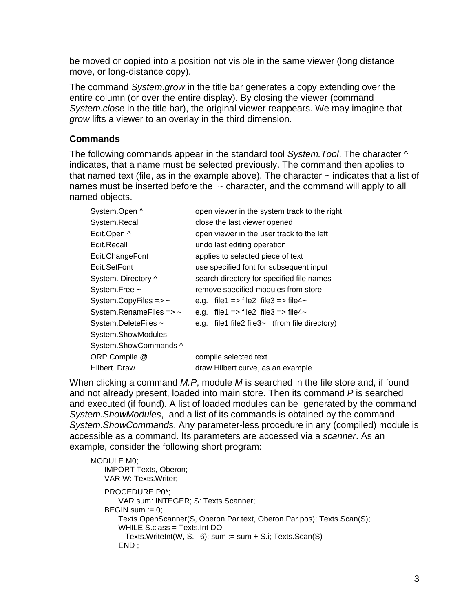be moved or copied into a position not visible in the same viewer (long distance move, or long-distance copy).

The command *System*.*grow* in the title bar generates a copy extending over the entire column (or over the entire display). By closing the viewer (command *System.close* in the title bar), the original viewer reappears. We may imagine that *grow* lifts a viewer to an overlay in the third dimension.

## **Commands**

The following commands appear in the standard tool *System.Tool*. The character ^ indicates, that a name must be selected previously. The command then applies to that named text (file, as in the example above). The character  $\sim$  indicates that a list of names must be inserted before the  $\sim$  character, and the command will apply to all named objects.

| System.Open ^                | open viewer in the system track to the right        |
|------------------------------|-----------------------------------------------------|
| System.Recall                | close the last viewer opened                        |
| Edit.Open ^                  | open viewer in the user track to the left           |
| Edit.Recall                  | undo last editing operation                         |
| Edit.ChangeFont              | applies to selected piece of text                   |
| Edit.SetFont                 | use specified font for subsequent input             |
| System. Directory ^          | search directory for specified file names           |
| System.Free $\sim$           | remove specified modules from store                 |
| System.CopyFiles => $\sim$   | e.g. file1 => file2 file3 => file4~                 |
| System.RenameFiles => $\sim$ | e.g. file1 => file2 file3 => file4~                 |
| System.DeleteFiles ~         | e.g. file1 file2 file3 $\sim$ (from file directory) |
| System.ShowModules           |                                                     |
| System.ShowCommands ^        |                                                     |
| ORP.Compile @                | compile selected text                               |
| Hilbert. Draw                | draw Hilbert curve, as an example                   |

When clicking a command *M.P*, module *M* is searched in the file store and, if found and not already present, loaded into main store. Then its command *P* is searched and executed (if found). A list of loaded modules can be generated by the command *System.ShowModules*, and a list of its commands is obtained by the command *System.ShowCommands*. Any parameter-less procedure in any (compiled) module is accessible as a command. Its parameters are accessed via a *scanner*. As an example, consider the following short program:

```
MODULE M0; 
    IMPORT Texts, Oberon; 
    VAR W: Texts.Writer; 
    PROCEDURE P0*; 
        VAR sum: INTEGER; S: Texts.Scanner; 
   BEGIN sum := 0;
         Texts.OpenScanner(S, Oberon.Par.text, Oberon.Par.pos); Texts.Scan(S); 
        WHILE S.class = Texts.Int DO 
         Texts.WriteInt(W, S.i, 6); sum := sum + S.i; Texts.Scan(S)
        END ;
```